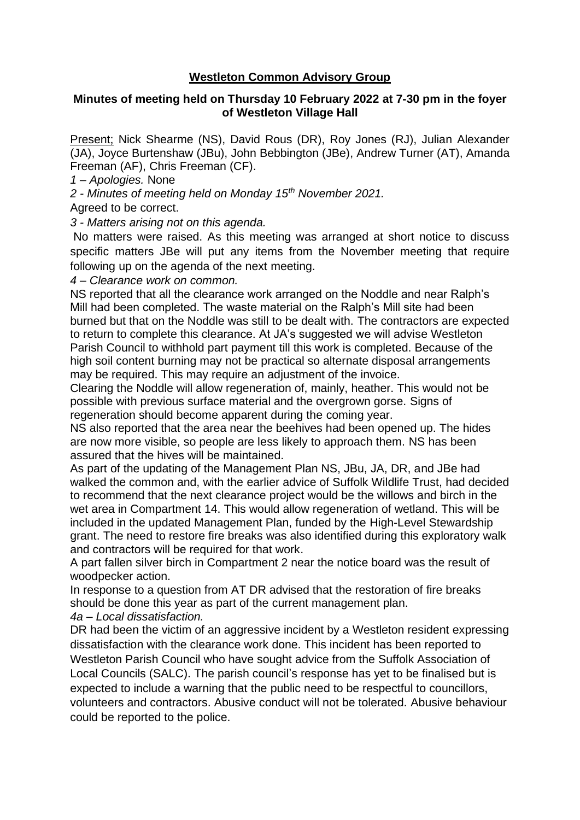## **Westleton Common Advisory Group**

## **Minutes of meeting held on Thursday 10 February 2022 at 7-30 pm in the foyer of Westleton Village Hall**

Present; Nick Shearme (NS), David Rous (DR), Roy Jones (RJ), Julian Alexander (JA), Joyce Burtenshaw (JBu), John Bebbington (JBe), Andrew Turner (AT), Amanda Freeman (AF), Chris Freeman (CF).

*1 – Apologies.* None

*2 - Minutes of meeting held on Monday 15th November 2021.*

Agreed to be correct.

*3 - Matters arising not on this agenda.*

No matters were raised. As this meeting was arranged at short notice to discuss specific matters JBe will put any items from the November meeting that require following up on the agenda of the next meeting.

*4 – Clearance work on common.*

NS reported that all the clearance work arranged on the Noddle and near Ralph's Mill had been completed. The waste material on the Ralph's Mill site had been burned but that on the Noddle was still to be dealt with. The contractors are expected to return to complete this clearance. At JA's suggested we will advise Westleton Parish Council to withhold part payment till this work is completed. Because of the high soil content burning may not be practical so alternate disposal arrangements may be required. This may require an adjustment of the invoice.

Clearing the Noddle will allow regeneration of, mainly, heather. This would not be possible with previous surface material and the overgrown gorse. Signs of regeneration should become apparent during the coming year.

NS also reported that the area near the beehives had been opened up. The hides are now more visible, so people are less likely to approach them. NS has been assured that the hives will be maintained.

As part of the updating of the Management Plan NS, JBu, JA, DR, and JBe had walked the common and, with the earlier advice of Suffolk Wildlife Trust, had decided to recommend that the next clearance project would be the willows and birch in the wet area in Compartment 14. This would allow regeneration of wetland. This will be included in the updated Management Plan, funded by the High-Level Stewardship grant. The need to restore fire breaks was also identified during this exploratory walk and contractors will be required for that work.

A part fallen silver birch in Compartment 2 near the notice board was the result of woodpecker action.

In response to a question from AT DR advised that the restoration of fire breaks should be done this year as part of the current management plan.

*4a – Local dissatisfaction.*

DR had been the victim of an aggressive incident by a Westleton resident expressing dissatisfaction with the clearance work done. This incident has been reported to Westleton Parish Council who have sought advice from the Suffolk Association of Local Councils (SALC). The parish council's response has yet to be finalised but is expected to include a warning that the public need to be respectful to councillors, volunteers and contractors. Abusive conduct will not be tolerated. Abusive behaviour could be reported to the police.